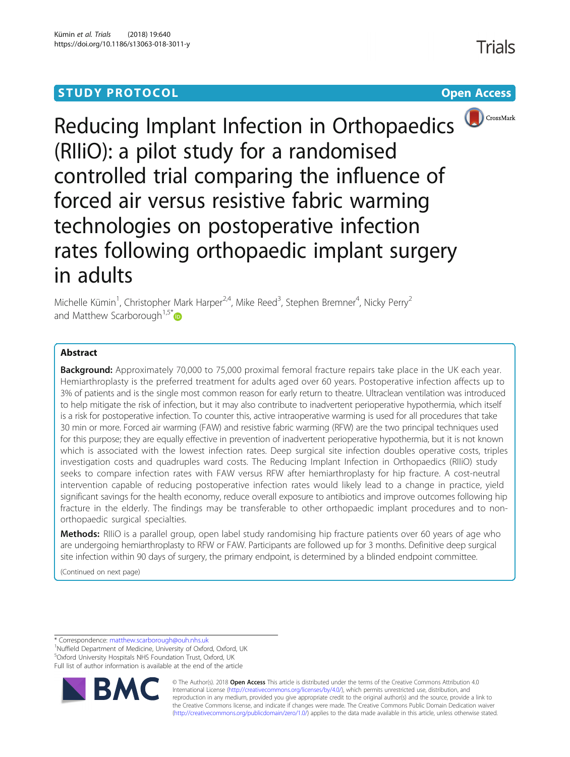## **STUDY PROTOCOL CONSUMING THE CONSUMING OPEN ACCESS**



Reducing Implant Infection in Orthopaedics (RIIiO): a pilot study for a randomised controlled trial comparing the influence of forced air versus resistive fabric warming technologies on postoperative infection rates following orthopaedic implant surgery in adults

Michelle Kümin<sup>1</sup>, Christopher Mark Harper<sup>2,4</sup>, Mike Reed<sup>3</sup>, Stephen Bremner<sup>4</sup>, Nicky Perry<sup>2</sup> and Matthew Scarborough<sup>1,5[\\*](http://orcid.org/0000-0002-0455-0785)</sup> $\bullet$ 

## Abstract

Background: Approximately 70,000 to 75,000 proximal femoral fracture repairs take place in the UK each year. Hemiarthroplasty is the preferred treatment for adults aged over 60 years. Postoperative infection affects up to 3% of patients and is the single most common reason for early return to theatre. Ultraclean ventilation was introduced to help mitigate the risk of infection, but it may also contribute to inadvertent perioperative hypothermia, which itself is a risk for postoperative infection. To counter this, active intraoperative warming is used for all procedures that take 30 min or more. Forced air warming (FAW) and resistive fabric warming (RFW) are the two principal techniques used for this purpose; they are equally effective in prevention of inadvertent perioperative hypothermia, but it is not known which is associated with the lowest infection rates. Deep surgical site infection doubles operative costs, triples investigation costs and quadruples ward costs. The Reducing Implant Infection in Orthopaedics (RIIiO) study seeks to compare infection rates with FAW versus RFW after hemiarthroplasty for hip fracture. A cost-neutral intervention capable of reducing postoperative infection rates would likely lead to a change in practice, yield significant savings for the health economy, reduce overall exposure to antibiotics and improve outcomes following hip fracture in the elderly. The findings may be transferable to other orthopaedic implant procedures and to nonorthopaedic surgical specialties.

Methods: RIIIO is a parallel group, open label study randomising hip fracture patients over 60 years of age who are undergoing hemiarthroplasty to RFW or FAW. Participants are followed up for 3 months. Definitive deep surgical site infection within 90 days of surgery, the primary endpoint, is determined by a blinded endpoint committee.

(Continued on next page)

\* Correspondence: [matthew.scarborough@ouh.nhs.uk](mailto:matthew.scarborough@ouh.nhs.uk) <sup>1</sup>

<sup>1</sup>Nuffield Department of Medicine, University of Oxford, Oxford, UK 5 Oxford University Hospitals NHS Foundation Trust, Oxford, UK Full list of author information is available at the end of the article



© The Author(s). 2018 Open Access This article is distributed under the terms of the Creative Commons Attribution 4.0 International License [\(http://creativecommons.org/licenses/by/4.0/](http://creativecommons.org/licenses/by/4.0/)), which permits unrestricted use, distribution, and reproduction in any medium, provided you give appropriate credit to the original author(s) and the source, provide a link to the Creative Commons license, and indicate if changes were made. The Creative Commons Public Domain Dedication waiver [\(http://creativecommons.org/publicdomain/zero/1.0/](http://creativecommons.org/publicdomain/zero/1.0/)) applies to the data made available in this article, unless otherwise stated.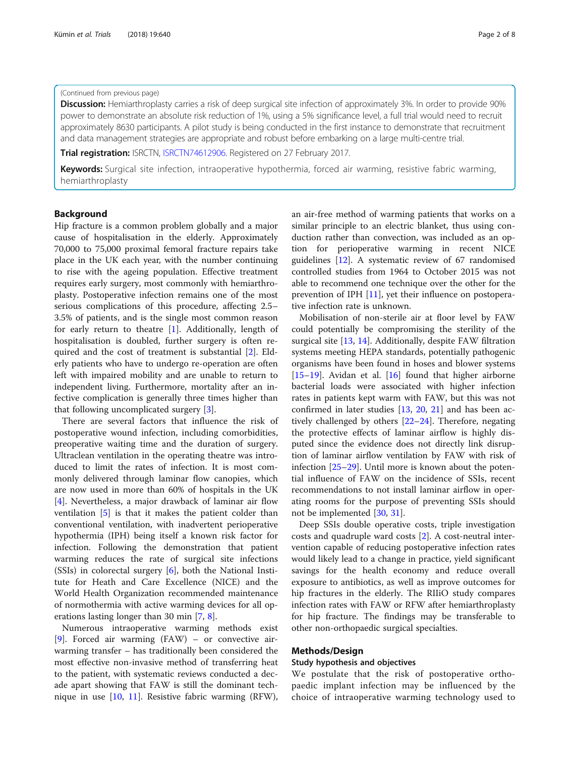## (Continued from previous page)

Discussion: Hemiarthroplasty carries a risk of deep surgical site infection of approximately 3%. In order to provide 90% power to demonstrate an absolute risk reduction of 1%, using a 5% significance level, a full trial would need to recruit approximately 8630 participants. A pilot study is being conducted in the first instance to demonstrate that recruitment and data management strategies are appropriate and robust before embarking on a large multi-centre trial.

**Trial registration:** ISRCTN, [ISRCTN74612906.](https://doi.org/10.1186/ISRCTN74612906) Registered on 27 February 2017.

Keywords: Surgical site infection, intraoperative hypothermia, forced air warming, resistive fabric warming, hemiarthroplasty

## Background

Hip fracture is a common problem globally and a major cause of hospitalisation in the elderly. Approximately 70,000 to 75,000 proximal femoral fracture repairs take place in the UK each year, with the number continuing to rise with the ageing population. Effective treatment requires early surgery, most commonly with hemiarthroplasty. Postoperative infection remains one of the most serious complications of this procedure, affecting 2.5– 3.5% of patients, and is the single most common reason for early return to theatre  $[1]$  $[1]$ . Additionally, length of hospitalisation is doubled, further surgery is often required and the cost of treatment is substantial [[2](#page-6-0)]. Elderly patients who have to undergo re-operation are often left with impaired mobility and are unable to return to independent living. Furthermore, mortality after an infective complication is generally three times higher than that following uncomplicated surgery [[3\]](#page-6-0).

There are several factors that influence the risk of postoperative wound infection, including comorbidities, preoperative waiting time and the duration of surgery. Ultraclean ventilation in the operating theatre was introduced to limit the rates of infection. It is most commonly delivered through laminar flow canopies, which are now used in more than 60% of hospitals in the UK [[4\]](#page-6-0). Nevertheless, a major drawback of laminar air flow ventilation [[5\]](#page-6-0) is that it makes the patient colder than conventional ventilation, with inadvertent perioperative hypothermia (IPH) being itself a known risk factor for infection. Following the demonstration that patient warming reduces the rate of surgical site infections (SSIs) in colorectal surgery [\[6](#page-6-0)], both the National Institute for Heath and Care Excellence (NICE) and the World Health Organization recommended maintenance of normothermia with active warming devices for all operations lasting longer than 30 min [[7,](#page-6-0) [8\]](#page-6-0).

Numerous intraoperative warming methods exist [[9\]](#page-6-0). Forced air warming (FAW) – or convective airwarming transfer – has traditionally been considered the most effective non-invasive method of transferring heat to the patient, with systematic reviews conducted a decade apart showing that FAW is still the dominant technique in use [[10](#page-6-0), [11\]](#page-6-0). Resistive fabric warming (RFW), an air-free method of warming patients that works on a similar principle to an electric blanket, thus using conduction rather than convection, was included as an option for perioperative warming in recent NICE guidelines [[12](#page-6-0)]. A systematic review of 67 randomised controlled studies from 1964 to October 2015 was not able to recommend one technique over the other for the prevention of IPH [\[11](#page-6-0)], yet their influence on postoperative infection rate is unknown.

Mobilisation of non-sterile air at floor level by FAW could potentially be compromising the sterility of the surgical site [\[13,](#page-6-0) [14\]](#page-6-0). Additionally, despite FAW filtration systems meeting HEPA standards, potentially pathogenic organisms have been found in hoses and blower systems [[15](#page-6-0)–[19](#page-6-0)]. Avidan et al. [\[16](#page-6-0)] found that higher airborne bacterial loads were associated with higher infection rates in patients kept warm with FAW, but this was not confirmed in later studies [\[13,](#page-6-0) [20,](#page-6-0) [21](#page-6-0)] and has been actively challenged by others [[22](#page-6-0)–[24](#page-6-0)]. Therefore, negating the protective effects of laminar airflow is highly disputed since the evidence does not directly link disruption of laminar airflow ventilation by FAW with risk of infection [\[25](#page-6-0)–[29\]](#page-7-0). Until more is known about the potential influence of FAW on the incidence of SSIs, recent recommendations to not install laminar airflow in operating rooms for the purpose of preventing SSIs should not be implemented [[30](#page-7-0), [31](#page-7-0)].

Deep SSIs double operative costs, triple investigation costs and quadruple ward costs [[2\]](#page-6-0). A cost-neutral intervention capable of reducing postoperative infection rates would likely lead to a change in practice, yield significant savings for the health economy and reduce overall exposure to antibiotics, as well as improve outcomes for hip fractures in the elderly. The RIIiO study compares infection rates with FAW or RFW after hemiarthroplasty for hip fracture. The findings may be transferable to other non-orthopaedic surgical specialties.

## Methods/Design

## Study hypothesis and objectives

We postulate that the risk of postoperative orthopaedic implant infection may be influenced by the choice of intraoperative warming technology used to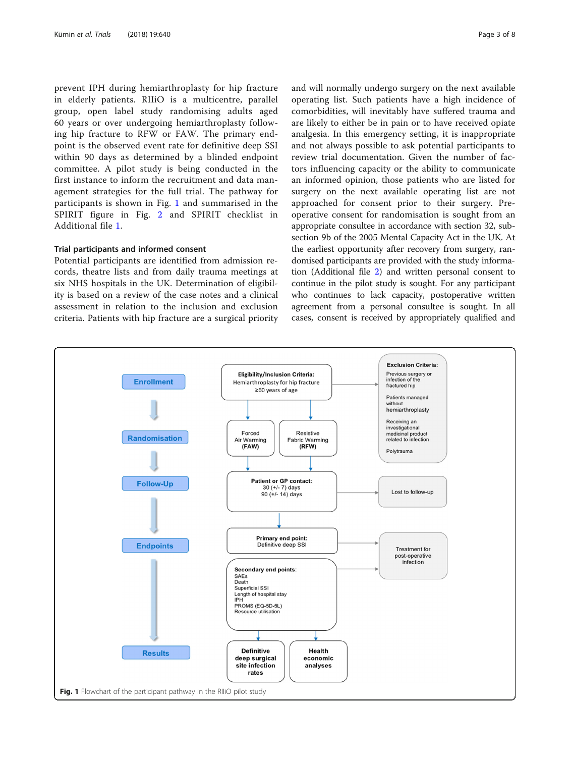prevent IPH during hemiarthroplasty for hip fracture in elderly patients. RIIiO is a multicentre, parallel group, open label study randomising adults aged 60 years or over undergoing hemiarthroplasty following hip fracture to RFW or FAW. The primary endpoint is the observed event rate for definitive deep SSI within 90 days as determined by a blinded endpoint committee. A pilot study is being conducted in the first instance to inform the recruitment and data management strategies for the full trial. The pathway for participants is shown in Fig. 1 and summarised in the SPIRIT figure in Fig. [2](#page-3-0) and SPIRIT checklist in Additional file [1.](#page-5-0)

## Trial participants and informed consent

Potential participants are identified from admission records, theatre lists and from daily trauma meetings at six NHS hospitals in the UK. Determination of eligibility is based on a review of the case notes and a clinical assessment in relation to the inclusion and exclusion criteria. Patients with hip fracture are a surgical priority and will normally undergo surgery on the next available operating list. Such patients have a high incidence of comorbidities, will inevitably have suffered trauma and are likely to either be in pain or to have received opiate analgesia. In this emergency setting, it is inappropriate and not always possible to ask potential participants to review trial documentation. Given the number of factors influencing capacity or the ability to communicate an informed opinion, those patients who are listed for surgery on the next available operating list are not approached for consent prior to their surgery. Preoperative consent for randomisation is sought from an appropriate consultee in accordance with section 32, subsection 9b of the 2005 Mental Capacity Act in the UK. At the earliest opportunity after recovery from surgery, randomised participants are provided with the study information (Additional file [2](#page-5-0)) and written personal consent to continue in the pilot study is sought. For any participant who continues to lack capacity, postoperative written agreement from a personal consultee is sought. In all cases, consent is received by appropriately qualified and

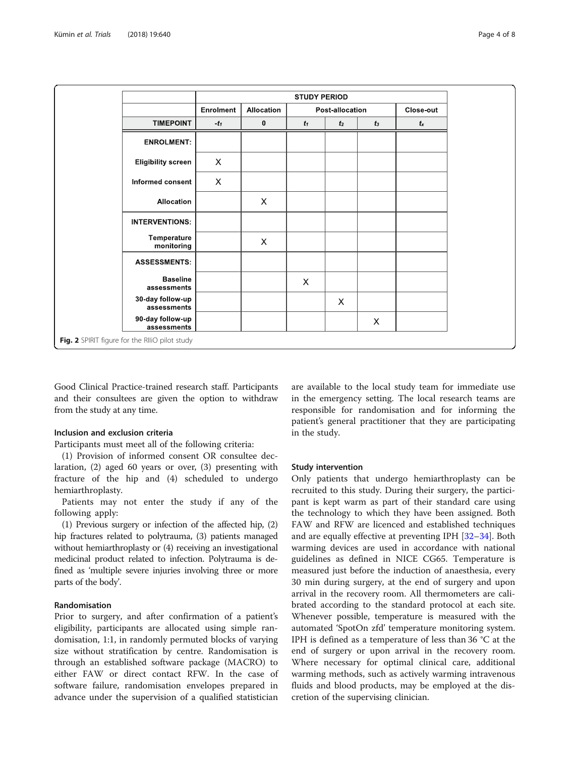<span id="page-3-0"></span>

|                                                |           | <b>STUDY PERIOD</b> |                 |                           |       |           |  |
|------------------------------------------------|-----------|---------------------|-----------------|---------------------------|-------|-----------|--|
|                                                | Enrolment | Allocation          | Post-allocation |                           |       | Close-out |  |
| <b>TIMEPOINT</b>                               | $-t_1$    | $\mathbf{0}$        | $t_1$           | t <sub>2</sub>            | $t_3$ | $t_{x}$   |  |
| <b>ENROLMENT:</b>                              |           |                     |                 |                           |       |           |  |
| <b>Eligibility screen</b>                      | $\times$  |                     |                 |                           |       |           |  |
| Informed consent                               | X         |                     |                 |                           |       |           |  |
| Allocation                                     |           | X                   |                 |                           |       |           |  |
| <b>INTERVENTIONS:</b>                          |           |                     |                 |                           |       |           |  |
| Temperature<br>monitoring                      |           | X                   |                 |                           |       |           |  |
| <b>ASSESSMENTS:</b>                            |           |                     |                 |                           |       |           |  |
| <b>Baseline</b><br>assessments                 |           |                     | X               |                           |       |           |  |
| 30-day follow-up<br>assessments                |           |                     |                 | $\boldsymbol{\mathsf{X}}$ |       |           |  |
| 90-day follow-up<br>assessments                |           |                     |                 |                           | X     |           |  |
| Fig. 2 SPIRIT figure for the RIIiO pilot study |           |                     |                 |                           |       |           |  |

Good Clinical Practice-trained research staff. Participants and their consultees are given the option to withdraw from the study at any time.

## Inclusion and exclusion criteria

Participants must meet all of the following criteria:

(1) Provision of informed consent OR consultee declaration, (2) aged 60 years or over, (3) presenting with fracture of the hip and (4) scheduled to undergo hemiarthroplasty.

Patients may not enter the study if any of the following apply:

(1) Previous surgery or infection of the affected hip, (2) hip fractures related to polytrauma, (3) patients managed without hemiarthroplasty or (4) receiving an investigational medicinal product related to infection. Polytrauma is defined as 'multiple severe injuries involving three or more parts of the body'.

## Randomisation

Prior to surgery, and after confirmation of a patient's eligibility, participants are allocated using simple randomisation, 1:1, in randomly permuted blocks of varying size without stratification by centre. Randomisation is through an established software package (MACRO) to either FAW or direct contact RFW. In the case of software failure, randomisation envelopes prepared in advance under the supervision of a qualified statistician are available to the local study team for immediate use in the emergency setting. The local research teams are responsible for randomisation and for informing the patient's general practitioner that they are participating in the study.

#### Study intervention

Only patients that undergo hemiarthroplasty can be recruited to this study. During their surgery, the participant is kept warm as part of their standard care using the technology to which they have been assigned. Both FAW and RFW are licenced and established techniques and are equally effective at preventing IPH [\[32](#page-7-0)–[34\]](#page-7-0). Both warming devices are used in accordance with national guidelines as defined in NICE CG65. Temperature is measured just before the induction of anaesthesia, every 30 min during surgery, at the end of surgery and upon arrival in the recovery room. All thermometers are calibrated according to the standard protocol at each site. Whenever possible, temperature is measured with the automated 'SpotOn zfd' temperature monitoring system. IPH is defined as a temperature of less than 36 °C at the end of surgery or upon arrival in the recovery room. Where necessary for optimal clinical care, additional warming methods, such as actively warming intravenous fluids and blood products, may be employed at the discretion of the supervising clinician.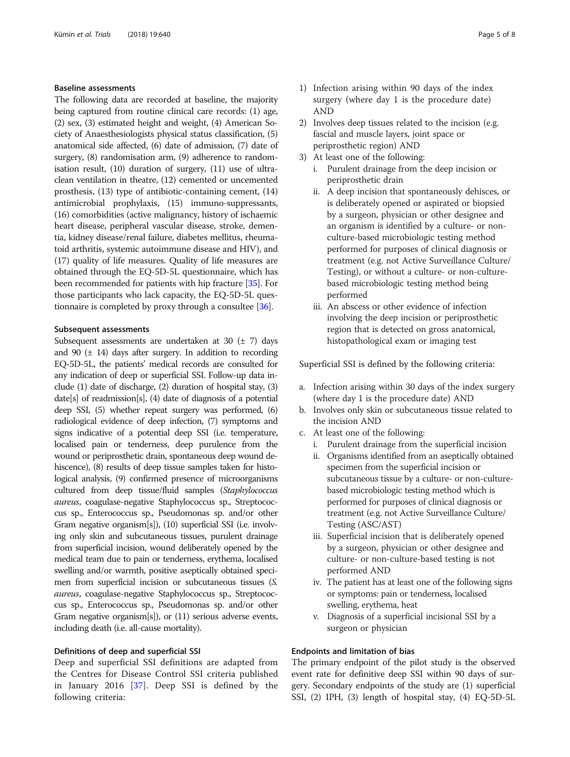## Baseline assessments

The following data are recorded at baseline, the majority being captured from routine clinical care records: (1) age, (2) sex, (3) estimated height and weight, (4) American Society of Anaesthesiologists physical status classification, (5) anatomical side affected, (6) date of admission, (7) date of surgery, (8) randomisation arm, (9) adherence to randomisation result, (10) duration of surgery, (11) use of ultraclean ventilation in theatre, (12) cemented or uncemented prosthesis, (13) type of antibiotic-containing cement, (14) antimicrobial prophylaxis, (15) immuno-suppressants, (16) comorbidities (active malignancy, history of ischaemic heart disease, peripheral vascular disease, stroke, dementia, kidney disease/renal failure, diabetes mellitus, rheumatoid arthritis, systemic autoimmune disease and HIV), and (17) quality of life measures. Quality of life measures are obtained through the EQ-5D-5L questionnaire, which has been recommended for patients with hip fracture [\[35\]](#page-7-0). For those participants who lack capacity, the EQ-5D-5L questionnaire is completed by proxy through a consultee [\[36\]](#page-7-0).

## Subsequent assessments

Subsequent assessments are undertaken at 30  $(\pm 7)$  days and 90  $(\pm 14)$  days after surgery. In addition to recording EQ-5D-5L, the patients' medical records are consulted for any indication of deep or superficial SSI. Follow-up data include (1) date of discharge, (2) duration of hospital stay, (3) date[s] of readmission[s], (4) date of diagnosis of a potential deep SSI, (5) whether repeat surgery was performed, (6) radiological evidence of deep infection, (7) symptoms and signs indicative of a potential deep SSI (i.e. temperature, localised pain or tenderness, deep purulence from the wound or periprosthetic drain, spontaneous deep wound dehiscence), (8) results of deep tissue samples taken for histological analysis, (9) confirmed presence of microorganisms cultured from deep tissue/fluid samples (Staphylococcus aureus, coagulase-negative Staphylococcus sp., Streptococcus sp., Enterococcus sp., Pseudomonas sp. and/or other Gram negative organism[s]), (10) superficial SSI (i.e. involving only skin and subcutaneous tissues, purulent drainage from superficial incision, wound deliberately opened by the medical team due to pain or tenderness, erythema, localised swelling and/or warmth, positive aseptically obtained specimen from superficial incision or subcutaneous tissues (S. aureus, coagulase-negative Staphylococcus sp., Streptococcus sp., Enterococcus sp., Pseudomonas sp. and/or other Gram negative organism[s]), or (11) serious adverse events, including death (i.e. all-cause mortality).

## Definitions of deep and superficial SSI

Deep and superficial SSI definitions are adapted from the Centres for Disease Control SSI criteria published in January 2016 [[37\]](#page-7-0). Deep SSI is defined by the following criteria:

- 1) Infection arising within 90 days of the index surgery (where day 1 is the procedure date) AND
- 2) Involves deep tissues related to the incision (e.g. fascial and muscle layers, joint space or periprosthetic region) AND
- 3) At least one of the following:
	- i. Purulent drainage from the deep incision or periprosthetic drain
	- ii. A deep incision that spontaneously dehisces, or is deliberately opened or aspirated or biopsied by a surgeon, physician or other designee and an organism is identified by a culture- or nonculture-based microbiologic testing method performed for purposes of clinical diagnosis or treatment (e.g. not Active Surveillance Culture/ Testing), or without a culture- or non-culturebased microbiologic testing method being performed
	- iii. An abscess or other evidence of infection involving the deep incision or periprosthetic region that is detected on gross anatomical, histopathological exam or imaging test

Superficial SSI is defined by the following criteria:

- a. Infection arising within 30 days of the index surgery (where day 1 is the procedure date) AND
- b. Involves only skin or subcutaneous tissue related to the incision AND
- c. At least one of the following:
	- i. Purulent drainage from the superficial incision
	- ii. Organisms identified from an aseptically obtained specimen from the superficial incision or subcutaneous tissue by a culture- or non-culturebased microbiologic testing method which is performed for purposes of clinical diagnosis or treatment (e.g. not Active Surveillance Culture/ Testing (ASC/AST)
	- iii. Superficial incision that is deliberately opened by a surgeon, physician or other designee and culture- or non-culture-based testing is not performed AND
	- iv. The patient has at least one of the following signs or symptoms: pain or tenderness, localised swelling, erythema, heat
	- v. Diagnosis of a superficial incisional SSI by a surgeon or physician

## Endpoints and limitation of bias

The primary endpoint of the pilot study is the observed event rate for definitive deep SSI within 90 days of surgery. Secondary endpoints of the study are (1) superficial SSI, (2) IPH, (3) length of hospital stay, (4) EQ-5D-5L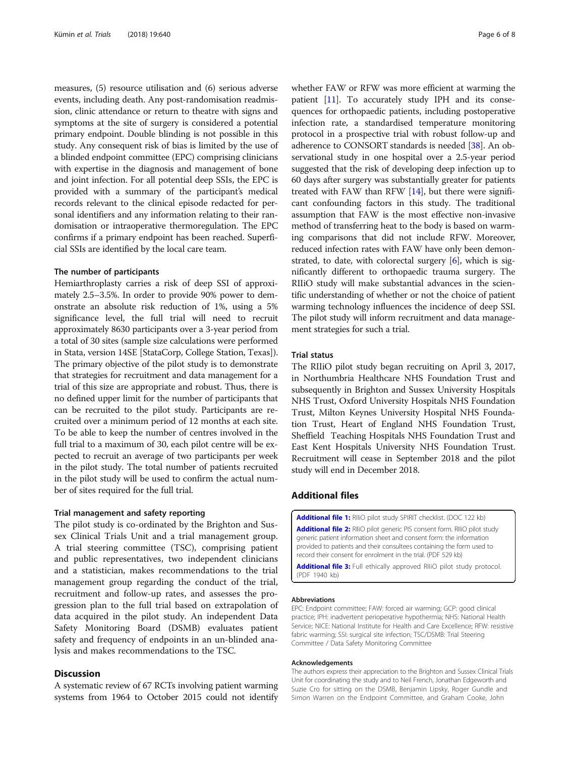<span id="page-5-0"></span>measures, (5) resource utilisation and (6) serious adverse events, including death. Any post-randomisation readmission, clinic attendance or return to theatre with signs and symptoms at the site of surgery is considered a potential primary endpoint. Double blinding is not possible in this study. Any consequent risk of bias is limited by the use of a blinded endpoint committee (EPC) comprising clinicians with expertise in the diagnosis and management of bone and joint infection. For all potential deep SSIs, the EPC is provided with a summary of the participant's medical records relevant to the clinical episode redacted for personal identifiers and any information relating to their randomisation or intraoperative thermoregulation. The EPC confirms if a primary endpoint has been reached. Superficial SSIs are identified by the local care team.

## The number of participants

Hemiarthroplasty carries a risk of deep SSI of approximately 2.5–3.5%. In order to provide 90% power to demonstrate an absolute risk reduction of 1%, using a 5% significance level, the full trial will need to recruit approximately 8630 participants over a 3-year period from a total of 30 sites (sample size calculations were performed in Stata, version 14SE [StataCorp, College Station, Texas]). The primary objective of the pilot study is to demonstrate that strategies for recruitment and data management for a trial of this size are appropriate and robust. Thus, there is no defined upper limit for the number of participants that can be recruited to the pilot study. Participants are recruited over a minimum period of 12 months at each site. To be able to keep the number of centres involved in the full trial to a maximum of 30, each pilot centre will be expected to recruit an average of two participants per week in the pilot study. The total number of patients recruited in the pilot study will be used to confirm the actual number of sites required for the full trial.

## Trial management and safety reporting

The pilot study is co-ordinated by the Brighton and Sussex Clinical Trials Unit and a trial management group. A trial steering committee (TSC), comprising patient and public representatives, two independent clinicians and a statistician, makes recommendations to the trial management group regarding the conduct of the trial, recruitment and follow-up rates, and assesses the progression plan to the full trial based on extrapolation of data acquired in the pilot study. An independent Data Safety Monitoring Board (DSMB) evaluates patient safety and frequency of endpoints in an un-blinded analysis and makes recommendations to the TSC.

## **Discussion**

A systematic review of 67 RCTs involving patient warming systems from 1964 to October 2015 could not identify

whether FAW or RFW was more efficient at warming the patient [[11](#page-6-0)]. To accurately study IPH and its consequences for orthopaedic patients, including postoperative infection rate, a standardised temperature monitoring protocol in a prospective trial with robust follow-up and adherence to CONSORT standards is needed [\[38\]](#page-7-0). An observational study in one hospital over a 2.5-year period suggested that the risk of developing deep infection up to 60 days after surgery was substantially greater for patients treated with FAW than RFW [\[14\]](#page-6-0), but there were significant confounding factors in this study. The traditional assumption that FAW is the most effective non-invasive method of transferring heat to the body is based on warming comparisons that did not include RFW. Moreover, reduced infection rates with FAW have only been demonstrated, to date, with colorectal surgery [[6\]](#page-6-0), which is significantly different to orthopaedic trauma surgery. The RIIiO study will make substantial advances in the scientific understanding of whether or not the choice of patient warming technology influences the incidence of deep SSI. The pilot study will inform recruitment and data management strategies for such a trial.

## Trial status

The RIIiO pilot study began recruiting on April 3, 2017, in Northumbria Healthcare NHS Foundation Trust and subsequently in Brighton and Sussex University Hospitals NHS Trust, Oxford University Hospitals NHS Foundation Trust, Milton Keynes University Hospital NHS Foundation Trust, Heart of England NHS Foundation Trust, Sheffield Teaching Hospitals NHS Foundation Trust and East Kent Hospitals University NHS Foundation Trust. Recruitment will cease in September 2018 and the pilot study will end in December 2018.

## Additional files

[Additional file 1:](https://doi.org/10.1186/s13063-018-3011-y) RIIIO pilot study SPIRIT checklist. (DOC 122 kb) [Additional file 2:](https://doi.org/10.1186/s13063-018-3011-y) RIIIO pilot generic PIS consent form. RIIIO pilot study generic patient information sheet and consent form: the information provided to patients and their consultees containing the form used to record their consent for enrolment in the trial. (PDF 529 kb)

[Additional file 3:](https://doi.org/10.1186/s13063-018-3011-y) Full ethically approved RIIIO pilot study protocol. (PDF 1940 kb)

## Abbreviations

EPC: Endpoint committee; FAW: forced air warming; GCP: good clinical practice; IPH: inadvertent perioperative hypothermia; NHS: National Health Service; NICE: National Institute for Health and Care Excellence; RFW: resistive fabric warming; SSI: surgical site infection; TSC/DSMB: Trial Steering Committee / Data Safety Monitoring Committee

#### Acknowledgements

The authors express their appreciation to the Brighton and Sussex Clinical Trials Unit for coordinating the study and to Neil French, Jonathan Edgeworth and Suzie Cro for sitting on the DSMB, Benjamin Lipsky, Roger Gundle and Simon Warren on the Endpoint Committee, and Graham Cooke, John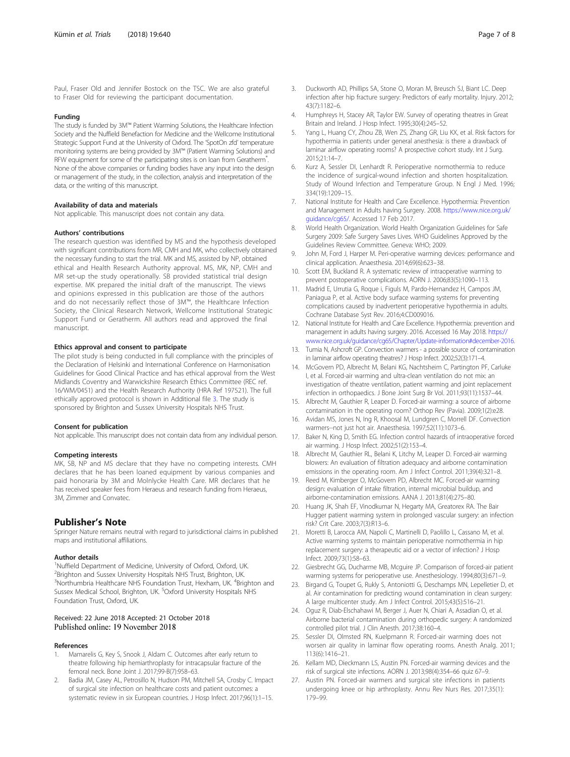#### <span id="page-6-0"></span>Funding

The study is funded by 3M™ Patient Warming Solutions, the Healthcare Infection Society and the Nuffield Benefaction for Medicine and the Wellcome Institutional Strategic Support Fund at the University of Oxford. The 'SpotOn zfd' temperature monitoring systems are being provided by 3M™ (Patient Warming Solutions) and RFW equipment for some of the participating sites is on loan from Geratherm<sup>®</sup>. . None of the above companies or funding bodies have any input into the design or management of the study, in the collection, analysis and interpretation of the data, or the writing of this manuscript.

#### Availability of data and materials

Not applicable. This manuscript does not contain any data.

#### Authors' contributions

The research question was identified by MS and the hypothesis developed with significant contributions from MR, CMH and MK, who collectively obtained the necessary funding to start the trial. MK and MS, assisted by NP, obtained ethical and Health Research Authority approval. MS, MK, NP, CMH and MR set-up the study operationally. SB provided statistical trial design expertise. MK prepared the initial draft of the manuscript. The views and opinions expressed in this publication are those of the authors and do not necessarily reflect those of 3M™, the Healthcare Infection Society, the Clinical Research Network, Wellcome Institutional Strategic Support Fund or Geratherm. All authors read and approved the final manuscript.

#### Ethics approval and consent to participate

The pilot study is being conducted in full compliance with the principles of the Declaration of Helsinki and International Conference on Harmonisation Guidelines for Good Clinical Practice and has ethical approval from the West Midlands Coventry and Warwickshire Research Ethics Committee (REC ref. 16/WM/0451) and the Health Research Authority (HRA Ref 197521). The full ethically approved protocol is shown in Additional file [3](#page-5-0). The study is sponsored by Brighton and Sussex University Hospitals NHS Trust.

#### Consent for publication

Not applicable. This manuscript does not contain data from any individual person.

#### Competing interests

MK, SB, NP and MS declare that they have no competing interests. CMH declares that he has been loaned equipment by various companies and paid honoraria by 3M and Molnlycke Health Care. MR declares that he has received speaker fees from Heraeus and research funding from Heraeus, 3M, Zimmer and Convatec.

## Publisher's Note

Springer Nature remains neutral with regard to jurisdictional claims in published maps and institutional affiliations.

#### Author details

<sup>1</sup>Nuffield Department of Medicine, University of Oxford, Oxford, UK. <sup>2</sup> Brighton and Sussex University Hospitals NHS Trust, Brighton, UK. <sup>3</sup>Northumbria Healthcare NHS Foundation Trust, Hexham, UK. <sup>4</sup>Brighton and Sussex Medical School, Brighton, UK. <sup>5</sup>Oxford University Hospitals NHS Foundation Trust, Oxford, UK.

# Received: 22 June 2018 Accepted: 21 October 2018<br>Published online: 19 November 2018

## References

- Mamarelis G, Key S, Snook J, Aldam C. Outcomes after early return to theatre following hip hemiarthroplasty for intracapsular fracture of the femoral neck. Bone Joint J. 2017;99-B(7):958–63.
- 2. Badia JM, Casey AL, Petrosillo N, Hudson PM, Mitchell SA, Crosby C. Impact of surgical site infection on healthcare costs and patient outcomes: a systematic review in six European countries. J Hosp Infect. 2017;96(1):1–15.
- 3. Duckworth AD, Phillips SA, Stone O, Moran M, Breusch SJ, Biant LC. Deep infection after hip fracture surgery: Predictors of early mortality. Injury. 2012; 43(7):1182–6.
- 4. Humphreys H, Stacey AR, Taylor EW. Survey of operating theatres in Great Britain and Ireland. J Hosp Infect. 1995;30(4):245–52.
- 5. Yang L, Huang CY, Zhou ZB, Wen ZS, Zhang GR, Liu KX, et al. Risk factors for hypothermia in patients under general anesthesia: is there a drawback of laminar airflow operating rooms? A prospective cohort study. Int J Surg. 2015;21:14–7.
- 6. Kurz A, Sessler DI, Lenhardt R. Perioperative normothermia to reduce the incidence of surgical-wound infection and shorten hospitalization. Study of Wound Infection and Temperature Group. N Engl J Med. 1996; 334(19):1209–15.
- 7. National Institute for Health and Care Excellence. Hypothermia: Prevention and Management in Adults having Surgery. 2008. [https://www.nice.org.uk/](https://www.nice.org.uk/guidance/cg65/) [guidance/cg65/.](https://www.nice.org.uk/guidance/cg65/) Accessed 17 Feb 2017.
- 8. World Health Organization. World Health Organization Guidelines for Safe Surgery 2009: Safe Surgery Saves Lives. WHO Guidelines Approved by the Guidelines Review Committee. Geneva: WHO; 2009.
- 9. John M, Ford J, Harper M. Peri-operative warming devices: performance and clinical application. Anaesthesia. 2014;69(6):623–38.
- 10. Scott EM, Buckland R. A systematic review of intraoperative warming to prevent postoperative complications. AORN J. 2006;83(5):1090–113.
- 11. Madrid E, Urrutia G, Roque i, Figuls M, Pardo-Hernandez H, Campos JM, Paniagua P, et al. Active body surface warming systems for preventing complications caused by inadvertent perioperative hypothermia in adults. Cochrane Database Syst Rev. 2016;4:CD009016.
- 12. National Institute for Health and Care Excellence. Hypothermia: prevention and management in adults having surgery. 2016. Accessed 16 May 2018. [https://](https://www.nice.org.uk/guidance/cg65/Chapter/Update-information#december-2016) [www.nice.org.uk/guidance/cg65/Chapter/Update-information#december-2016](https://www.nice.org.uk/guidance/cg65/Chapter/Update-information#december-2016).
- 13. Tumia N, Ashcroft GP. Convection warmers a possible source of contamination in laminar airflow operating theatres? J Hosp Infect. 2002;52(3):171–4.
- 14. McGovern PD, Albrecht M, Belani KG, Nachtsheim C, Partington PF, Carluke I, et al. Forced-air warming and ultra-clean ventilation do not mix: an investigation of theatre ventilation, patient warming and joint replacement infection in orthopaedics. J Bone Joint Surg Br Vol. 2011;93(11):1537–44.
- 15. Albrecht M, Gauthier R, Leaper D. Forced-air warming: a source of airborne contamination in the operating room? Orthop Rev (Pavia). 2009;1(2):e28.
- 16. Avidan MS, Jones N, Ing R, Khoosal M, Lundgren C, Morrell DF. Convection warmers--not just hot air. Anaesthesia. 1997;52(11):1073–6.
- 17. Baker N, King D, Smith EG. Infection control hazards of intraoperative forced air warming. J Hosp Infect. 2002;51(2):153–4.
- 18. Albrecht M, Gauthier RL, Belani K, Litchy M, Leaper D. Forced-air warming blowers: An evaluation of filtration adequacy and airborne contamination emissions in the operating room. Am J Infect Control. 2011;39(4):321–8.
- 19. Reed M, Kimberger O, McGovern PD, Albrecht MC. Forced-air warming design: evaluation of intake filtration, internal microbial buildup, and airborne-contamination emissions. AANA J. 2013;81(4):275–80.
- 20. Huang JK, Shah EF, Vinodkumar N, Hegarty MA, Greatorex RA. The Bair Hugger patient warming system in prolonged vascular surgery: an infection risk? Crit Care. 2003;7(3):R13–6.
- 21. Moretti B, Larocca AM, Napoli C, Martinelli D, Paolillo L, Cassano M, et al. Active warming systems to maintain perioperative normothermia in hip replacement surgery: a therapeutic aid or a vector of infection? J Hosp Infect. 2009;73(1):58–63.
- 22. Giesbrecht GG, Ducharme MB, Mcguire JP. Comparison of forced-air patient warming systems for perioperative use. Anesthesiology. 1994;80(3):671–9.
- 23. Birgand G, Toupet G, Rukly S, Antoniotti G, Deschamps MN, Lepelletier D, et al. Air contamination for predicting wound contamination in clean surgery: A large multicenter study. Am J Infect Control. 2015;43(5):516–21.
- 24. Oguz R, Diab-Elschahawi M, Berger J, Auer N, Chiari A, Assadian O, et al. Airborne bacterial contamination during orthopedic surgery: A randomized controlled pilot trial. J Clin Anesth. 2017;38:160–4.
- 25. Sessler DI, Olmsted RN, Kuelpmann R. Forced-air warming does not worsen air quality in laminar flow operating rooms. Anesth Analg. 2011; 113(6):1416–21.
- 26. Kellam MD, Dieckmann LS, Austin PN. Forced-air warming devices and the risk of surgical site infections. AORN J. 2013;98(4):354–66 quiz 67–9.
- 27. Austin PN. Forced-air warmers and surgical site infections in patients undergoing knee or hip arthroplasty. Annu Rev Nurs Res. 2017;35(1): 179–99.